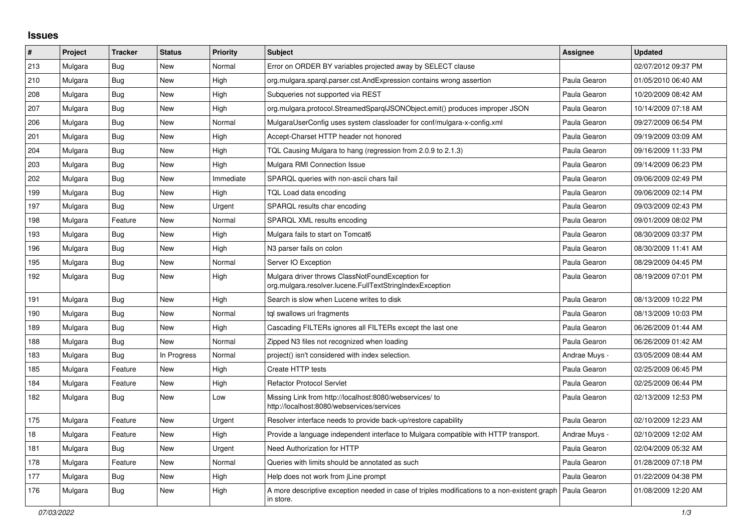## **Issues**

| #   | Project | <b>Tracker</b> | <b>Status</b> | Priority  | <b>Subject</b>                                                                                               | <b>Assignee</b> | <b>Updated</b>      |
|-----|---------|----------------|---------------|-----------|--------------------------------------------------------------------------------------------------------------|-----------------|---------------------|
| 213 | Mulgara | Bug            | <b>New</b>    | Normal    | Error on ORDER BY variables projected away by SELECT clause                                                  |                 | 02/07/2012 09:37 PM |
| 210 | Mulgara | Bug            | New           | High      | org.mulgara.spargl.parser.cst.AndExpression contains wrong assertion                                         | Paula Gearon    | 01/05/2010 06:40 AM |
| 208 | Mulgara | <b>Bug</b>     | <b>New</b>    | High      | Subqueries not supported via REST                                                                            | Paula Gearon    | 10/20/2009 08:42 AM |
| 207 | Mulgara | Bug            | New           | High      | org.mulgara.protocol.StreamedSparqIJSONObject.emit() produces improper JSON                                  | Paula Gearon    | 10/14/2009 07:18 AM |
| 206 | Mulgara | <b>Bug</b>     | <b>New</b>    | Normal    | MulgaraUserConfig uses system classloader for conf/mulgara-x-config.xml                                      | Paula Gearon    | 09/27/2009 06:54 PM |
| 201 | Mulgara | Bug            | <b>New</b>    | High      | Accept-Charset HTTP header not honored                                                                       | Paula Gearon    | 09/19/2009 03:09 AM |
| 204 | Mulgara | Bug            | <b>New</b>    | High      | TQL Causing Mulgara to hang (regression from 2.0.9 to 2.1.3)                                                 | Paula Gearon    | 09/16/2009 11:33 PM |
| 203 | Mulgara | Bug            | New           | High      | Mulgara RMI Connection Issue                                                                                 | Paula Gearon    | 09/14/2009 06:23 PM |
| 202 | Mulgara | Bug            | <b>New</b>    | Immediate | SPARQL queries with non-ascii chars fail                                                                     | Paula Gearon    | 09/06/2009 02:49 PM |
| 199 | Mulgara | Bug            | <b>New</b>    | High      | TQL Load data encoding                                                                                       | Paula Gearon    | 09/06/2009 02:14 PM |
| 197 | Mulgara | Bug            | <b>New</b>    | Urgent    | SPARQL results char encoding                                                                                 | Paula Gearon    | 09/03/2009 02:43 PM |
| 198 | Mulgara | Feature        | <b>New</b>    | Normal    | SPARQL XML results encoding                                                                                  | Paula Gearon    | 09/01/2009 08:02 PM |
| 193 | Mulgara | Bug            | <b>New</b>    | High      | Mulgara fails to start on Tomcat6                                                                            | Paula Gearon    | 08/30/2009 03:37 PM |
| 196 | Mulgara | Bug            | <b>New</b>    | High      | N3 parser fails on colon                                                                                     | Paula Gearon    | 08/30/2009 11:41 AM |
| 195 | Mulgara | <b>Bug</b>     | New           | Normal    | Server IO Exception                                                                                          | Paula Gearon    | 08/29/2009 04:45 PM |
| 192 | Mulgara | Bug            | New           | High      | Mulgara driver throws ClassNotFoundException for<br>org.mulgara.resolver.lucene.FullTextStringIndexException | Paula Gearon    | 08/19/2009 07:01 PM |
| 191 | Mulgara | <b>Bug</b>     | New           | High      | Search is slow when Lucene writes to disk                                                                    | Paula Gearon    | 08/13/2009 10:22 PM |
| 190 | Mulgara | <b>Bug</b>     | <b>New</b>    | Normal    | tgl swallows uri fragments                                                                                   | Paula Gearon    | 08/13/2009 10:03 PM |
| 189 | Mulgara | Bug            | <b>New</b>    | High      | Cascading FILTERs ignores all FILTERs except the last one                                                    | Paula Gearon    | 06/26/2009 01:44 AM |
| 188 | Mulgara | Bug            | <b>New</b>    | Normal    | Zipped N3 files not recognized when loading                                                                  | Paula Gearon    | 06/26/2009 01:42 AM |
| 183 | Mulgara | <b>Bug</b>     | In Progress   | Normal    | project() isn't considered with index selection.                                                             | Andrae Muys -   | 03/05/2009 08:44 AM |
| 185 | Mulgara | Feature        | <b>New</b>    | High      | Create HTTP tests                                                                                            | Paula Gearon    | 02/25/2009 06:45 PM |
| 184 | Mulgara | Feature        | New           | High      | <b>Refactor Protocol Servlet</b>                                                                             | Paula Gearon    | 02/25/2009 06:44 PM |
| 182 | Mulgara | <b>Bug</b>     | <b>New</b>    | Low       | Missing Link from http://localhost:8080/webservices/ to<br>http://localhost:8080/webservices/services        | Paula Gearon    | 02/13/2009 12:53 PM |
| 175 | Mulgara | Feature        | <b>New</b>    | Urgent    | Resolver interface needs to provide back-up/restore capability                                               | Paula Gearon    | 02/10/2009 12:23 AM |
| 18  | Mulgara | Feature        | New           | High      | Provide a language independent interface to Mulgara compatible with HTTP transport.                          | Andrae Muys -   | 02/10/2009 12:02 AM |
| 181 | Mulgara | Bug            | <b>New</b>    | Urgent    | Need Authorization for HTTP                                                                                  | Paula Gearon    | 02/04/2009 05:32 AM |
| 178 | Mulgara | Feature        | New           | Normal    | Queries with limits should be annotated as such                                                              | Paula Gearon    | 01/28/2009 07:18 PM |
| 177 | Mulgara | Bug            | New           | High      | Help does not work from jLine prompt                                                                         | Paula Gearon    | 01/22/2009 04:38 PM |
| 176 | Mulgara | <b>Bug</b>     | <b>New</b>    | High      | A more descriptive exception needed in case of triples modifications to a non-existent graph<br>in store.    | l Paula Gearon  | 01/08/2009 12:20 AM |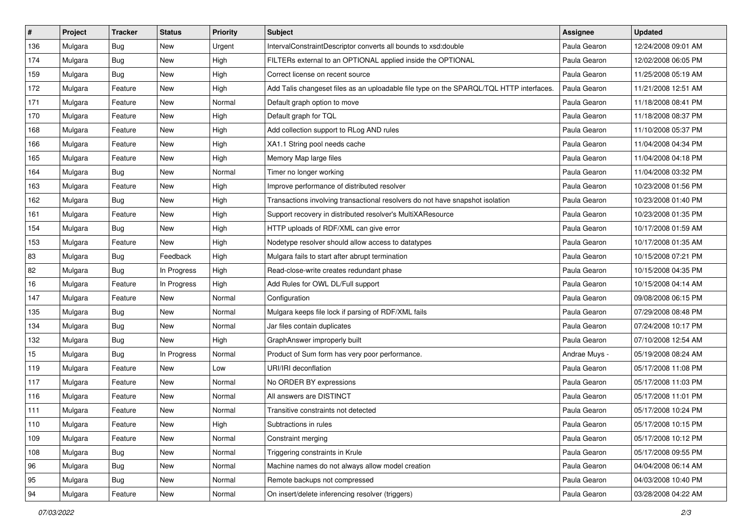| $\sharp$ | Project | <b>Tracker</b> | <b>Status</b> | <b>Priority</b> | <b>Subject</b>                                                                          | Assignee      | <b>Updated</b>      |
|----------|---------|----------------|---------------|-----------------|-----------------------------------------------------------------------------------------|---------------|---------------------|
| 136      | Mulgara | Bug            | New           | Urgent          | IntervalConstraintDescriptor converts all bounds to xsd:double                          | Paula Gearon  | 12/24/2008 09:01 AM |
| 174      | Mulgara | Bug            | New           | High            | FILTERs external to an OPTIONAL applied inside the OPTIONAL                             | Paula Gearon  | 12/02/2008 06:05 PM |
| 159      | Mulgara | Bug            | New           | High            | Correct license on recent source                                                        | Paula Gearon  | 11/25/2008 05:19 AM |
| 172      | Mulgara | Feature        | New           | High            | Add Talis changeset files as an uploadable file type on the SPARQL/TQL HTTP interfaces. | Paula Gearon  | 11/21/2008 12:51 AM |
| 171      | Mulgara | Feature        | New           | Normal          | Default graph option to move                                                            | Paula Gearon  | 11/18/2008 08:41 PM |
| 170      | Mulgara | Feature        | New           | High            | Default graph for TQL                                                                   | Paula Gearon  | 11/18/2008 08:37 PM |
| 168      | Mulgara | Feature        | New           | High            | Add collection support to RLog AND rules                                                | Paula Gearon  | 11/10/2008 05:37 PM |
| 166      | Mulgara | Feature        | New           | High            | XA1.1 String pool needs cache                                                           | Paula Gearon  | 11/04/2008 04:34 PM |
| 165      | Mulgara | Feature        | New           | High            | Memory Map large files                                                                  | Paula Gearon  | 11/04/2008 04:18 PM |
| 164      | Mulgara | Bug            | New           | Normal          | Timer no longer working                                                                 | Paula Gearon  | 11/04/2008 03:32 PM |
| 163      | Mulgara | Feature        | New           | High            | Improve performance of distributed resolver                                             | Paula Gearon  | 10/23/2008 01:56 PM |
| 162      | Mulgara | Bug            | New           | High            | Transactions involving transactional resolvers do not have snapshot isolation           | Paula Gearon  | 10/23/2008 01:40 PM |
| 161      | Mulgara | Feature        | <b>New</b>    | High            | Support recovery in distributed resolver's MultiXAResource                              | Paula Gearon  | 10/23/2008 01:35 PM |
| 154      | Mulgara | Bug            | New           | High            | HTTP uploads of RDF/XML can give error                                                  | Paula Gearon  | 10/17/2008 01:59 AM |
| 153      | Mulgara | Feature        | New           | High            | Nodetype resolver should allow access to datatypes                                      | Paula Gearon  | 10/17/2008 01:35 AM |
| 83       | Mulgara | Bug            | Feedback      | High            | Mulgara fails to start after abrupt termination                                         | Paula Gearon  | 10/15/2008 07:21 PM |
| 82       | Mulgara | Bug            | In Progress   | High            | Read-close-write creates redundant phase                                                | Paula Gearon  | 10/15/2008 04:35 PM |
| 16       | Mulgara | Feature        | In Progress   | High            | Add Rules for OWL DL/Full support                                                       | Paula Gearon  | 10/15/2008 04:14 AM |
| 147      | Mulgara | Feature        | New           | Normal          | Configuration                                                                           | Paula Gearon  | 09/08/2008 06:15 PM |
| 135      | Mulgara | Bug            | <b>New</b>    | Normal          | Mulgara keeps file lock if parsing of RDF/XML fails                                     | Paula Gearon  | 07/29/2008 08:48 PM |
| 134      | Mulgara | Bug            | New           | Normal          | Jar files contain duplicates                                                            | Paula Gearon  | 07/24/2008 10:17 PM |
| 132      | Mulgara | Bug            | New           | High            | GraphAnswer improperly built                                                            | Paula Gearon  | 07/10/2008 12:54 AM |
| 15       | Mulgara | Bug            | In Progress   | Normal          | Product of Sum form has very poor performance.                                          | Andrae Muys - | 05/19/2008 08:24 AM |
| 119      | Mulgara | Feature        | New           | Low             | URI/IRI deconflation                                                                    | Paula Gearon  | 05/17/2008 11:08 PM |
| 117      | Mulgara | Feature        | New           | Normal          | No ORDER BY expressions                                                                 | Paula Gearon  | 05/17/2008 11:03 PM |
| 116      | Mulgara | Feature        | <b>New</b>    | Normal          | All answers are DISTINCT                                                                | Paula Gearon  | 05/17/2008 11:01 PM |
| 111      | Mulgara | Feature        | New           | Normal          | Transitive constraints not detected                                                     | Paula Gearon  | 05/17/2008 10:24 PM |
| 110      | Mulgara | Feature        | New           | High            | Subtractions in rules                                                                   | Paula Gearon  | 05/17/2008 10:15 PM |
| 109      | Mulgara | Feature        | New           | Normal          | Constraint merging                                                                      | Paula Gearon  | 05/17/2008 10:12 PM |
| 108      | Mulgara | <b>Bug</b>     | New           | Normal          | Triggering constraints in Krule                                                         | Paula Gearon  | 05/17/2008 09:55 PM |
| 96       | Mulgara | Bug            | New           | Normal          | Machine names do not always allow model creation                                        | Paula Gearon  | 04/04/2008 06:14 AM |
| 95       | Mulgara | Bug            | New           | Normal          | Remote backups not compressed                                                           | Paula Gearon  | 04/03/2008 10:40 PM |
| 94       | Mulgara | Feature        | New           | Normal          | On insert/delete inferencing resolver (triggers)                                        | Paula Gearon  | 03/28/2008 04:22 AM |